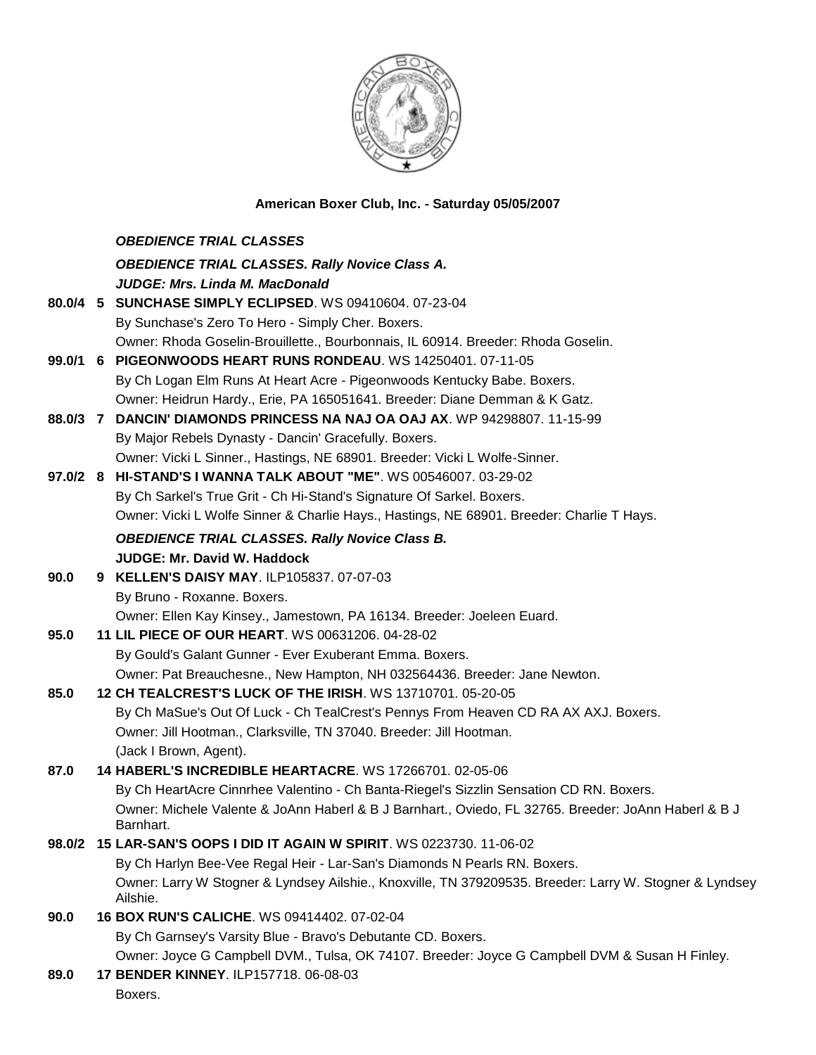

## **American Boxer Club, Inc. - Saturday 05/05/2007**

|      | <b>OBEDIENCE TRIAL CLASSES</b>                                                                                      |
|------|---------------------------------------------------------------------------------------------------------------------|
|      | <b>OBEDIENCE TRIAL CLASSES. Rally Novice Class A.</b>                                                               |
|      | <b>JUDGE: Mrs. Linda M. MacDonald</b>                                                                               |
|      | 80.0/4 5 SUNCHASE SIMPLY ECLIPSED. WS 09410604. 07-23-04                                                            |
|      | By Sunchase's Zero To Hero - Simply Cher. Boxers.                                                                   |
|      | Owner: Rhoda Goselin-Brouillette., Bourbonnais, IL 60914. Breeder: Rhoda Goselin.                                   |
|      | 99.0/1 6 PIGEONWOODS HEART RUNS RONDEAU. WS 14250401. 07-11-05                                                      |
|      | By Ch Logan Elm Runs At Heart Acre - Pigeonwoods Kentucky Babe. Boxers.                                             |
|      | Owner: Heidrun Hardy., Erie, PA 165051641. Breeder: Diane Demman & K Gatz.                                          |
|      | 88.0/3 7 DANCIN' DIAMONDS PRINCESS NA NAJ OA OAJ AX. WP 94298807. 11-15-99                                          |
|      | By Major Rebels Dynasty - Dancin' Gracefully. Boxers.                                                               |
|      | Owner: Vicki L Sinner., Hastings, NE 68901. Breeder: Vicki L Wolfe-Sinner.                                          |
|      | 97.0/2 8 HI-STAND'S I WANNA TALK ABOUT "ME". WS 00546007. 03-29-02                                                  |
|      | By Ch Sarkel's True Grit - Ch Hi-Stand's Signature Of Sarkel. Boxers.                                               |
|      | Owner: Vicki L Wolfe Sinner & Charlie Hays., Hastings, NE 68901. Breeder: Charlie T Hays.                           |
|      | <b>OBEDIENCE TRIAL CLASSES. Rally Novice Class B.</b>                                                               |
|      | <b>JUDGE: Mr. David W. Haddock</b>                                                                                  |
| 90.0 | 9 KELLEN'S DAISY MAY. ILP105837. 07-07-03                                                                           |
|      | By Bruno - Roxanne. Boxers.                                                                                         |
|      | Owner: Ellen Kay Kinsey., Jamestown, PA 16134. Breeder: Joeleen Euard.                                              |
| 95.0 | 11 LIL PIECE OF OUR HEART. WS 00631206. 04-28-02                                                                    |
|      | By Gould's Galant Gunner - Ever Exuberant Emma. Boxers.                                                             |
|      | Owner: Pat Breauchesne., New Hampton, NH 032564436. Breeder: Jane Newton.                                           |
| 85.0 | 12 CH TEALCREST'S LUCK OF THE IRISH. WS 13710701. 05-20-05                                                          |
|      | By Ch MaSue's Out Of Luck - Ch TealCrest's Pennys From Heaven CD RA AX AXJ. Boxers.                                 |
|      | Owner: Jill Hootman., Clarksville, TN 37040. Breeder: Jill Hootman.                                                 |
|      | (Jack I Brown, Agent).                                                                                              |
| 87.0 | 14 HABERL'S INCREDIBLE HEARTACRE. WS 17266701. 02-05-06                                                             |
|      | By Ch HeartAcre Cinnrhee Valentino - Ch Banta-Riegel's Sizzlin Sensation CD RN. Boxers.                             |
|      | Owner: Michele Valente & JoAnn Haberl & B J Barnhart., Oviedo, FL 32765. Breeder: JoAnn Haberl & B J<br>Barnhart.   |
|      | 98.0/2 15 LAR-SAN'S OOPS I DID IT AGAIN W SPIRIT. WS 0223730. 11-06-02                                              |
|      | By Ch Harlyn Bee-Vee Regal Heir - Lar-San's Diamonds N Pearls RN. Boxers.                                           |
|      | Owner: Larry W Stogner & Lyndsey Ailshie., Knoxville, TN 379209535. Breeder: Larry W. Stogner & Lyndsey<br>Ailshie. |
| 90.0 | 16 BOX RUN'S CALICHE. WS 09414402. 07-02-04                                                                         |
|      | By Ch Garnsey's Varsity Blue - Bravo's Debutante CD. Boxers.                                                        |
|      | Owner: Joyce G Campbell DVM., Tulsa, OK 74107. Breeder: Joyce G Campbell DVM & Susan H Finley.                      |
| 89.0 | 17 BENDER KINNEY. ILP157718. 06-08-03                                                                               |
|      | Boxers.                                                                                                             |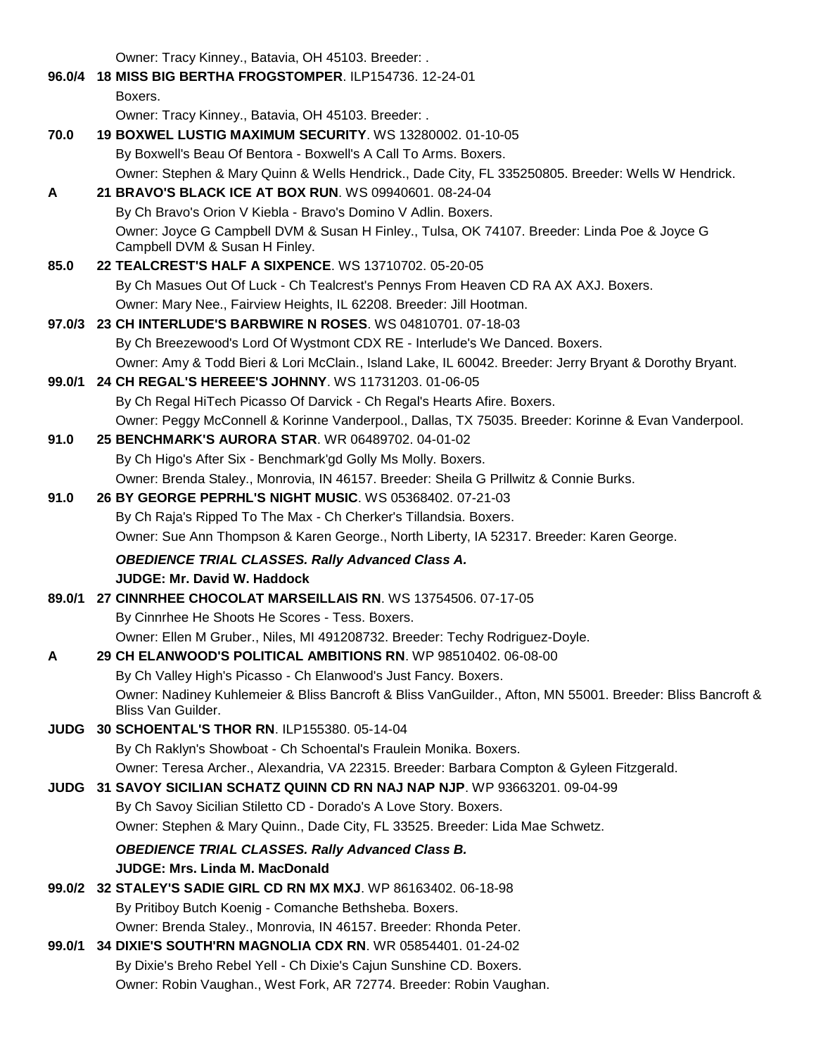Owner: Tracy Kinney., Batavia, OH 45103. Breeder: .

**96.0/4 18 MISS BIG BERTHA FROGSTOMPER**. ILP154736. 12-24-01 Boxers. Owner: Tracy Kinney., Batavia, OH 45103. Breeder: . **70.0 19 BOXWEL LUSTIG MAXIMUM SECURITY**. WS 13280002. 01-10-05 By Boxwell's Beau Of Bentora - Boxwell's A Call To Arms. Boxers. Owner: Stephen & Mary Quinn & Wells Hendrick., Dade City, FL 335250805. Breeder: Wells W Hendrick. **A 21 BRAVO'S BLACK ICE AT BOX RUN**. WS 09940601. 08-24-04 By Ch Bravo's Orion V Kiebla - Bravo's Domino V Adlin. Boxers. Owner: Joyce G Campbell DVM & Susan H Finley., Tulsa, OK 74107. Breeder: Linda Poe & Joyce G Campbell DVM & Susan H Finley. **85.0 22 TEALCREST'S HALF A SIXPENCE**. WS 13710702. 05-20-05 By Ch Masues Out Of Luck - Ch Tealcrest's Pennys From Heaven CD RA AX AXJ. Boxers. Owner: Mary Nee., Fairview Heights, IL 62208. Breeder: Jill Hootman. **97.0/3 23 CH INTERLUDE'S BARBWIRE N ROSES**. WS 04810701. 07-18-03 By Ch Breezewood's Lord Of Wystmont CDX RE - Interlude's We Danced. Boxers. Owner: Amy & Todd Bieri & Lori McClain., Island Lake, IL 60042. Breeder: Jerry Bryant & Dorothy Bryant. **99.0/1 24 CH REGAL'S HEREEE'S JOHNNY**. WS 11731203. 01-06-05 By Ch Regal HiTech Picasso Of Darvick - Ch Regal's Hearts Afire. Boxers. Owner: Peggy McConnell & Korinne Vanderpool., Dallas, TX 75035. Breeder: Korinne & Evan Vanderpool. **91.0 25 BENCHMARK'S AURORA STAR**. WR 06489702. 04-01-02 By Ch Higo's After Six - Benchmark'gd Golly Ms Molly. Boxers. Owner: Brenda Staley., Monrovia, IN 46157. Breeder: Sheila G Prillwitz & Connie Burks. **91.0 26 BY GEORGE PEPRHL'S NIGHT MUSIC**. WS 05368402. 07-21-03 By Ch Raja's Ripped To The Max - Ch Cherker's Tillandsia. Boxers. Owner: Sue Ann Thompson & Karen George., North Liberty, IA 52317. Breeder: Karen George. *OBEDIENCE TRIAL CLASSES. Rally Advanced Class A.* **JUDGE: Mr. David W. Haddock 89.0/1 27 CINNRHEE CHOCOLAT MARSEILLAIS RN**. WS 13754506. 07-17-05 By Cinnrhee He Shoots He Scores - Tess. Boxers. Owner: Ellen M Gruber., Niles, MI 491208732. Breeder: Techy Rodriguez-Doyle. **A 29 CH ELANWOOD'S POLITICAL AMBITIONS RN**. WP 98510402. 06-08-00 By Ch Valley High's Picasso - Ch Elanwood's Just Fancy. Boxers. Owner: Nadiney Kuhlemeier & Bliss Bancroft & Bliss VanGuilder., Afton, MN 55001. Breeder: Bliss Bancroft & Bliss Van Guilder. **JUDG 30 SCHOENTAL'S THOR RN**. ILP155380. 05-14-04 By Ch Raklyn's Showboat - Ch Schoental's Fraulein Monika. Boxers. Owner: Teresa Archer., Alexandria, VA 22315. Breeder: Barbara Compton & Gyleen Fitzgerald. **JUDG 31 SAVOY SICILIAN SCHATZ QUINN CD RN NAJ NAP NJP**. WP 93663201. 09-04-99 By Ch Savoy Sicilian Stiletto CD - Dorado's A Love Story. Boxers. Owner: Stephen & Mary Quinn., Dade City, FL 33525. Breeder: Lida Mae Schwetz. *OBEDIENCE TRIAL CLASSES. Rally Advanced Class B.* **JUDGE: Mrs. Linda M. MacDonald 99.0/2 32 STALEY'S SADIE GIRL CD RN MX MXJ**. WP 86163402. 06-18-98 By Pritiboy Butch Koenig - Comanche Bethsheba. Boxers. Owner: Brenda Staley., Monrovia, IN 46157. Breeder: Rhonda Peter. **99.0/1 34 DIXIE'S SOUTH'RN MAGNOLIA CDX RN**. WR 05854401. 01-24-02 By Dixie's Breho Rebel Yell - Ch Dixie's Cajun Sunshine CD. Boxers. Owner: Robin Vaughan., West Fork, AR 72774. Breeder: Robin Vaughan.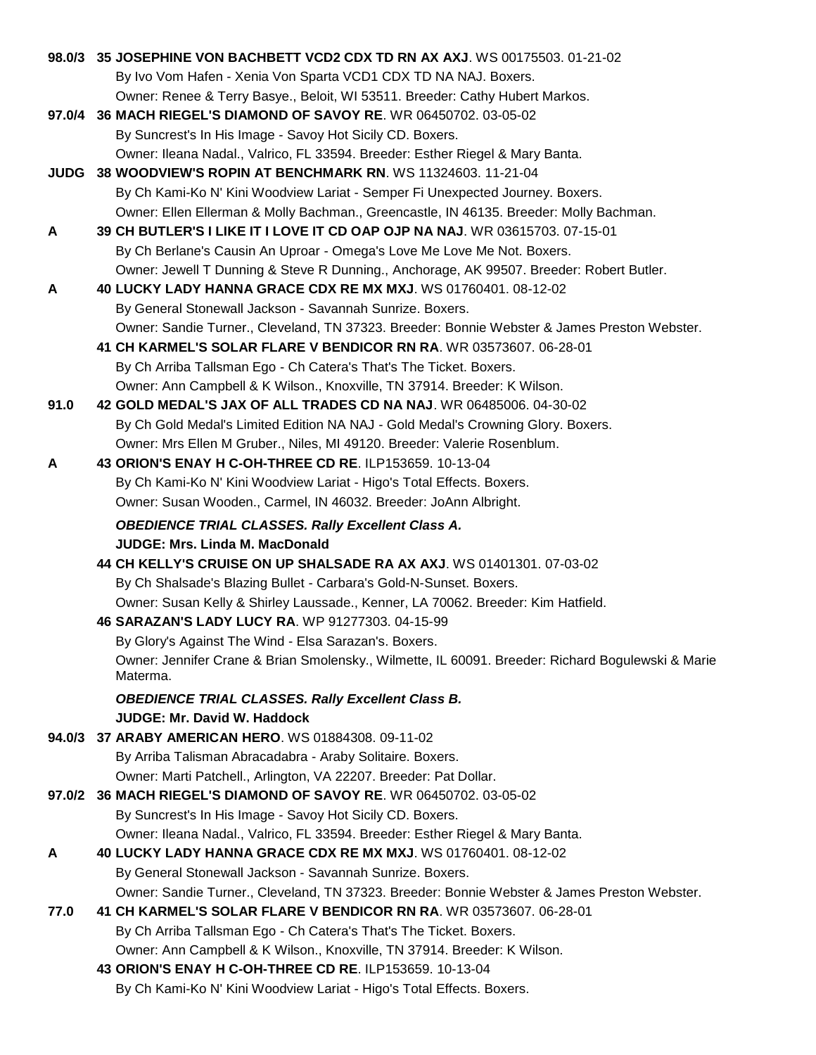|             | 98.0/3 35 JOSEPHINE VON BACHBETT VCD2 CDX TD RN AX AXJ. WS 00175503. 01-21-02                     |
|-------------|---------------------------------------------------------------------------------------------------|
|             | By Ivo Vom Hafen - Xenia Von Sparta VCD1 CDX TD NA NAJ. Boxers.                                   |
|             | Owner: Renee & Terry Basye., Beloit, WI 53511. Breeder: Cathy Hubert Markos.                      |
|             | 97.0/4 36 MACH RIEGEL'S DIAMOND OF SAVOY RE. WR 06450702. 03-05-02                                |
|             | By Suncrest's In His Image - Savoy Hot Sicily CD. Boxers.                                         |
|             | Owner: Ileana Nadal., Valrico, FL 33594. Breeder: Esther Riegel & Mary Banta.                     |
| <b>JUDG</b> | 38 WOODVIEW'S ROPIN AT BENCHMARK RN. WS 11324603. 11-21-04                                        |
|             | By Ch Kami-Ko N' Kini Woodview Lariat - Semper Fi Unexpected Journey. Boxers.                     |
|             | Owner: Ellen Ellerman & Molly Bachman., Greencastle, IN 46135. Breeder: Molly Bachman.            |
| A           | 39 CH BUTLER'S I LIKE IT I LOVE IT CD OAP OJP NA NAJ. WR 03615703. 07-15-01                       |
|             | By Ch Berlane's Causin An Uproar - Omega's Love Me Love Me Not. Boxers.                           |
|             | Owner: Jewell T Dunning & Steve R Dunning., Anchorage, AK 99507. Breeder: Robert Butler.          |
| A           | 40 LUCKY LADY HANNA GRACE CDX RE MX MXJ. WS 01760401. 08-12-02                                    |
|             | By General Stonewall Jackson - Savannah Sunrize. Boxers.                                          |
|             | Owner: Sandie Turner., Cleveland, TN 37323. Breeder: Bonnie Webster & James Preston Webster.      |
|             | 41 CH KARMEL'S SOLAR FLARE V BENDICOR RN RA. WR 03573607. 06-28-01                                |
|             | By Ch Arriba Tallsman Ego - Ch Catera's That's The Ticket. Boxers.                                |
|             | Owner: Ann Campbell & K Wilson., Knoxville, TN 37914. Breeder: K Wilson.                          |
| 91.0        | 42 GOLD MEDAL'S JAX OF ALL TRADES CD NA NAJ. WR 06485006. 04-30-02                                |
|             | By Ch Gold Medal's Limited Edition NA NAJ - Gold Medal's Crowning Glory. Boxers.                  |
|             | Owner: Mrs Ellen M Gruber., Niles, MI 49120. Breeder: Valerie Rosenblum.                          |
| A           | 43 ORION'S ENAY H C-OH-THREE CD RE. ILP153659. 10-13-04                                           |
|             | By Ch Kami-Ko N' Kini Woodview Lariat - Higo's Total Effects. Boxers.                             |
|             | Owner: Susan Wooden., Carmel, IN 46032. Breeder: JoAnn Albright.                                  |
|             | <b>OBEDIENCE TRIAL CLASSES. Rally Excellent Class A.</b>                                          |
|             | <b>JUDGE: Mrs. Linda M. MacDonald</b>                                                             |
|             | 44 CH KELLY'S CRUISE ON UP SHALSADE RA AX AXJ. WS 01401301. 07-03-02                              |
|             | By Ch Shalsade's Blazing Bullet - Carbara's Gold-N-Sunset. Boxers.                                |
|             | Owner: Susan Kelly & Shirley Laussade., Kenner, LA 70062. Breeder: Kim Hatfield.                  |
|             | 46 SARAZAN'S LADY LUCY RA. WP 91277303. 04-15-99                                                  |
|             | By Glory's Against The Wind - Elsa Sarazan's. Boxers.                                             |
|             | Owner: Jennifer Crane & Brian Smolensky., Wilmette, IL 60091. Breeder: Richard Bogulewski & Marie |
|             | Materma.                                                                                          |
|             | <b>OBEDIENCE TRIAL CLASSES. Rally Excellent Class B.</b>                                          |
|             | <b>JUDGE: Mr. David W. Haddock</b>                                                                |
|             | 94.0/3 37 ARABY AMERICAN HERO. WS 01884308. 09-11-02                                              |
|             | By Arriba Talisman Abracadabra - Araby Solitaire. Boxers.                                         |
|             | Owner: Marti Patchell., Arlington, VA 22207. Breeder: Pat Dollar.                                 |
|             | 97.0/2 36 MACH RIEGEL'S DIAMOND OF SAVOY RE. WR 06450702. 03-05-02                                |
|             | By Suncrest's In His Image - Savoy Hot Sicily CD. Boxers.                                         |
|             | Owner: Ileana Nadal., Valrico, FL 33594. Breeder: Esther Riegel & Mary Banta.                     |
| A           | 40 LUCKY LADY HANNA GRACE CDX RE MX MXJ. WS 01760401. 08-12-02                                    |
|             | By General Stonewall Jackson - Savannah Sunrize. Boxers.                                          |
|             | Owner: Sandie Turner., Cleveland, TN 37323. Breeder: Bonnie Webster & James Preston Webster.      |
| 77.0        | 41 CH KARMEL'S SOLAR FLARE V BENDICOR RN RA. WR 03573607. 06-28-01                                |
|             | By Ch Arriba Tallsman Ego - Ch Catera's That's The Ticket. Boxers.                                |
|             | Owner: Ann Campbell & K Wilson., Knoxville, TN 37914. Breeder: K Wilson.                          |
|             | 43 ORION'S ENAY H C-OH-THREE CD RE. ILP153659. 10-13-04                                           |
|             | By Ch Kami-Ko N' Kini Woodview Lariat - Higo's Total Effects. Boxers.                             |